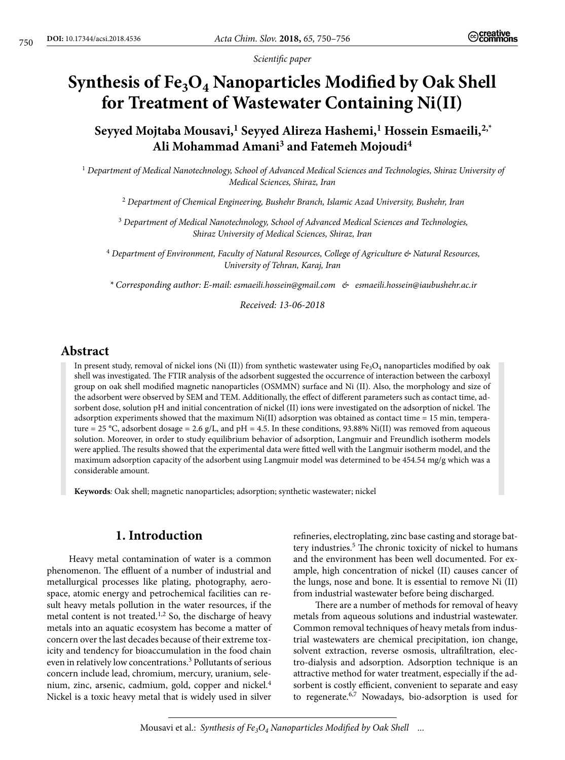*Scientific paper*

# Synthesis of Fe<sub>3</sub>O<sub>4</sub> Nanoparticles Modified by Oak Shell **for Treatment of Wastewater Containing Ni(II)**

**Seyyed Mojtaba Mousavi,1 Seyyed Alireza Hashemi,1 Hossein Esmaeili,2,\* Ali Mohammad Amani3 and Fatemeh Mojoudi4**

<sup>1</sup> *Department of Medical Nanotechnology, School of Advanced Medical Sciences and Technologies, Shiraz University of Medical Sciences, Shiraz, Iran*

<sup>2</sup> *Department of Chemical Engineering, Bushehr Branch, Islamic Azad University, Bushehr, Iran*

<sup>3</sup> *Department of Medical Nanotechnology, School of Advanced Medical Sciences and Technologies, Shiraz University of Medical Sciences, Shiraz, Iran*

<sup>4</sup> *Department of Environment, Faculty of Natural Resources, College of Agriculture & Natural Resources, University of Tehran, Karaj, Iran*

*\* Corresponding author: E-mail: esmaeili.hossein@gmail.com & esmaeili.hossein@iaubushehr.ac.ir*

*Received: 13-06-2018*

# **Abstract**

In present study, removal of nickel ions (Ni (II)) from synthetic wastewater using  $Fe<sub>3</sub>O<sub>4</sub>$  nanoparticles modified by oak shell was investigated. The FTIR analysis of the adsorbent suggested the occurrence of interaction between the carboxyl group on oak shell modified magnetic nanoparticles (OSMMN) surface and Ni (II). Also, the morphology and size of the adsorbent were observed by SEM and TEM. Additionally, the effect of different parameters such as contact time, adsorbent dose, solution pH and initial concentration of nickel (II) ions were investigated on the adsorption of nickel. The adsorption experiments showed that the maximum  $Ni(II)$  adsorption was obtained as contact time = 15 min, temperature = 25 °C, adsorbent dosage = 2.6 g/L, and pH = 4.5. In these conditions, 93.88% Ni(II) was removed from aqueous solution. Moreover, in order to study equilibrium behavior of adsorption, Langmuir and Freundlich isotherm models were applied. The results showed that the experimental data were fitted well with the Langmuir isotherm model, and the maximum adsorption capacity of the adsorbent using Langmuir model was determined to be 454.54 mg/g which was a considerable amount.

**Keywords***:* Oak shell; magnetic nanoparticles; adsorption; synthetic wastewater; nickel

# **1. Introduction**

Heavy metal contamination of water is a common phenomenon. The effluent of a number of industrial and metallurgical processes like plating, photography, aerospace, atomic energy and petrochemical facilities can result heavy metals pollution in the water resources, if the metal content is not treated.<sup>1,2</sup> So, the discharge of heavy metals into an aquatic ecosystem has become a matter of concern over the last decades because of their extreme toxicity and tendency for bioaccumulation in the food chain even in relatively low concentrations.3 Pollutants of serious concern include lead, chromium, mercury, uranium, selenium, zinc, arsenic, cadmium, gold, copper and nickel.<sup>4</sup> Nickel is a toxic heavy metal that is widely used in silver

refineries, electroplating, zinc base casting and storage battery industries.<sup>5</sup> The chronic toxicity of nickel to humans and the environment has been well documented. For example, high concentration of nickel (II) causes cancer of the lungs, nose and bone. It is essential to remove Ni (II) from industrial wastewater before being discharged.

There are a number of methods for removal of heavy metals from aqueous solutions and industrial wastewater. Common removal techniques of heavy metals from industrial wastewaters are chemical precipitation, ion change, solvent extraction, reverse osmosis, ultrafiltration, electro-dialysis and adsorption. Adsorption technique is an attractive method for water treatment, especially if the adsorbent is costly efficient, convenient to separate and easy to regenerate.6,7 Nowadays, bio-adsorption is used for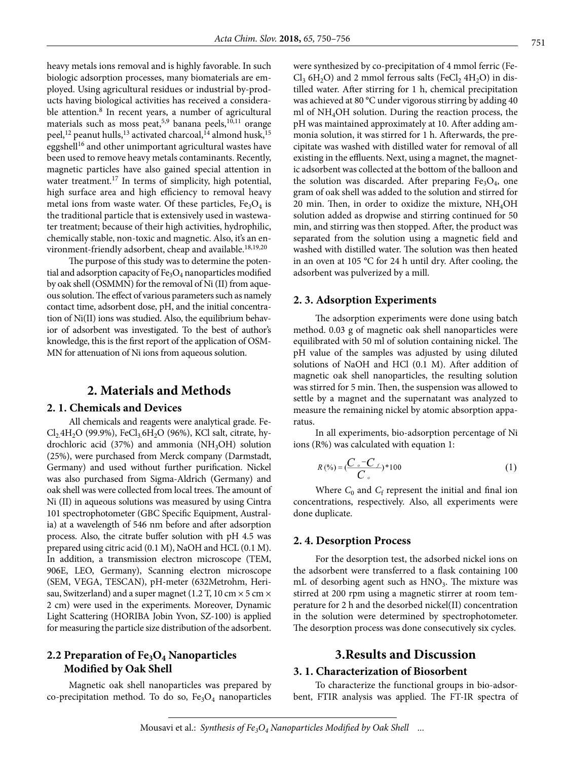heavy metals ions removal and is highly favorable. In such biologic adsorption processes, many biomaterials are employed. Using agricultural residues or industrial by-products having biological activities has received a considerable attention.<sup>8</sup> In recent years, a number of agricultural materials such as moss peat,<sup>5,9</sup> banana peels,<sup>10,11</sup> orange peel,<sup>12</sup> peanut hulls,<sup>13</sup> activated charcoal,<sup>14</sup> almond husk,<sup>15</sup> eggshell<sup>16</sup> and other unimportant agricultural wastes have been used to remove heavy metals contaminants. Recently, magnetic particles have also gained special attention in water treatment.<sup>17</sup> In terms of simplicity, high potential, high surface area and high efficiency to removal heavy metal ions from waste water. Of these particles,  $Fe<sub>3</sub>O<sub>4</sub>$  is the traditional particle that is extensively used in wastewater treatment; because of their high activities, hydrophilic, chemically stable, non-toxic and magnetic. Also, it's an environment-friendly adsorbent, cheap and available.<sup>18,19,20</sup>

The purpose of this study was to determine the potential and adsorption capacity of  $Fe<sub>3</sub>O<sub>4</sub>$  nanoparticles modified by oak shell (OSMMN) for the removal of Ni (II) from aqueous solution. The effect of various parameters such as namely contact time, adsorbent dose, pH, and the initial concentration of Ni(II) ions was studied. Also, the equilibrium behavior of adsorbent was investigated. To the best of author's knowledge, this is the first report of the application of OSM-MN for attenuation of Ni ions from aqueous solution.

# **2. Materials and Methods**

#### **2. 1. Chemicals and Devices**

All chemicals and reagents were analytical grade. Fe- $Cl_24H_2O$  (99.9%), Fe $Cl_36H_2O$  (96%), KCl salt, citrate, hydrochloric acid  $(37%)$  and ammonia  $(NH<sub>3</sub>OH)$  solution (25%), were purchased from Merck company (Darmstadt, Germany) and used without further purification. Nickel was also purchased from Sigma-Aldrich (Germany) and oak shell was were collected from local trees. The amount of Ni (II) in aqueous solutions was measured by using Cintra 101 spectrophotometer (GBC Specific Equipment, Australia) at a wavelength of 546 nm before and after adsorption process. Also, the citrate buffer solution with pH 4.5 was prepared using citric acid (0.1 M), NaOH and HCL (0.1 M). In addition, a transmission electron microscope (TEM, 906E, LEO, Germany), Scanning electron microscope (SEM, VEGA, TESCAN), pH-meter (632Metrohm, Herisau, Switzerland) and a super magnet (1.2 T, 10 cm  $\times$  5 cm  $\times$ 2 cm) were used in the experiments. Moreover, Dynamic Light Scattering (HORIBA Jobin Yvon, SZ-100) is applied for measuring the particle size distribution of the adsorbent.

### 2.2 Preparation of Fe<sub>3</sub>O<sub>4</sub> Nanoparticles **Modified by Oak Shell**

Magnetic oak shell nanoparticles was prepared by co-precipitation method. To do so,  $Fe<sub>3</sub>O<sub>4</sub>$  nanoparticles were synthesized by co-precipitation of 4 mmol ferric (Fe- $Cl_3$  6H<sub>2</sub>O) and 2 mmol ferrous salts (FeCl<sub>2</sub> 4H<sub>2</sub>O) in distilled water. After stirring for 1 h, chemical precipitation was achieved at 80 °C under vigorous stirring by adding 40 ml of  $NH<sub>4</sub>OH$  solution. During the reaction process, the pH was maintained approximately at 10. After adding ammonia solution, it was stirred for 1 h. Afterwards, the precipitate was washed with distilled water for removal of all existing in the effluents. Next, using a magnet, the magnetic adsorbent was collected at the bottom of the balloon and the solution was discarded. After preparing  $Fe<sub>3</sub>O<sub>4</sub>$ , one gram of oak shell was added to the solution and stirred for 20 min. Then, in order to oxidize the mixture,  $NH<sub>4</sub>OH$ solution added as dropwise and stirring continued for 50 min, and stirring was then stopped. After, the product was separated from the solution using a magnetic field and washed with distilled water. The solution was then heated in an oven at 105 °C for 24 h until dry. After cooling, the adsorbent was pulverized by a mill.

### **2. 3. Adsorption Experiments**

The adsorption experiments were done using batch method. 0.03 g of magnetic oak shell nanoparticles were equilibrated with 50 ml of solution containing nickel. The pH value of the samples was adjusted by using diluted solutions of NaOH and HCl (0.1 M). After addition of magnetic oak shell nanoparticles, the resulting solution was stirred for 5 min. Then, the suspension was allowed to settle by a magnet and the supernatant was analyzed to measure the remaining nickel by atomic absorption apparatus.

In all experiments, bio-adsorption percentage of Ni ions (R%) was calculated with equation 1:

$$
R\left(\frac{\%}{\text{C}}\right) = \left(\frac{C \cdot C}{C \cdot \text{C}}\right) * 100\tag{1}
$$

Where  $C_0$  and  $C_f$  represent the initial and final ion concentrations, respectively. Also, all experiments were done duplicate.

### **2. 4. Desorption Process**

For the desorption test, the adsorbed nickel ions on the adsorbent were transferred to a flask containing 100 mL of desorbing agent such as  $HNO<sub>3</sub>$ . The mixture was stirred at 200 rpm using a magnetic stirrer at room temperature for 2 h and the desorbed nickel(II) concentration in the solution were determined by spectrophotometer. The desorption process was done consecutively six cycles.

# **3.Results and Discussion**

### **3. 1. Characterization of Biosorbent**

To characterize the functional groups in bio-adsorbent, FTIR analysis was applied. The FT-IR spectra of

Mousavi et al.: *Synthesis of Fe<sub>3</sub>O<sub>4</sub> Nanoparticles Modified by Oak Shell ...*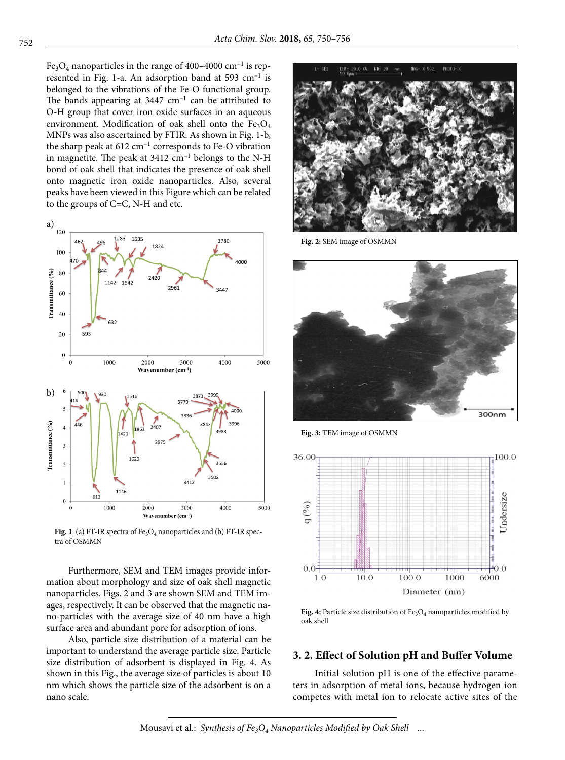Fe<sub>3</sub>O<sub>4</sub> nanoparticles in the range of 400–4000 cm<sup>-1</sup> is represented in Fig. 1-a. An adsorption band at 593  $cm^{-1}$  is belonged to the vibrations of the Fe-O functional group. The bands appearing at  $3447 \text{ cm}^{-1}$  can be attributed to O-H group that cover iron oxide surfaces in an aqueous environment. Modification of oak shell onto the  $Fe<sub>3</sub>O<sub>4</sub>$ MNPs was also ascertained by FTIR. As shown in Fig. 1-b, the sharp peak at  $612 \text{ cm}^{-1}$  corresponds to Fe-O vibration in magnetite. The peak at  $3412 \text{ cm}^{-1}$  belongs to the N-H bond of oak shell that indicates the presence of oak shell onto magnetic iron oxide nanoparticles. Also, several peaks have been viewed in this Figure which can be related to the groups of C=C, N-H and etc.



Fig. 1: (a) FT-IR spectra of  $Fe<sub>3</sub>O<sub>4</sub>$  nanoparticles and (b) FT-IR spectra of OSMMN

Furthermore, SEM and TEM images provide information about morphology and size of oak shell magnetic nanoparticles. Figs. 2 and 3 are shown SEM and TEM images, respectively. It can be observed that the magnetic nano-particles with the average size of 40 nm have a high surface area and abundant pore for adsorption of ions.

Also, particle size distribution of a material can be important to understand the average particle size. Particle size distribution of adsorbent is displayed in Fig. 4. As shown in this Fig., the average size of particles is about 10 nm which shows the particle size of the adsorbent is on a nano scale.



**Fig. 2:** SEM image of OSMMN



**Fig. 3:** TEM image of OSMMN



Fig. 4: Particle size distribution of Fe<sub>3</sub>O<sub>4</sub> nanoparticles modified by oak shell

### **3. 2. Effect of Solution pH and Buffer Volume**

Initial solution pH is one of the effective parameters in adsorption of metal ions, because hydrogen ion competes with metal ion to relocate active sites of the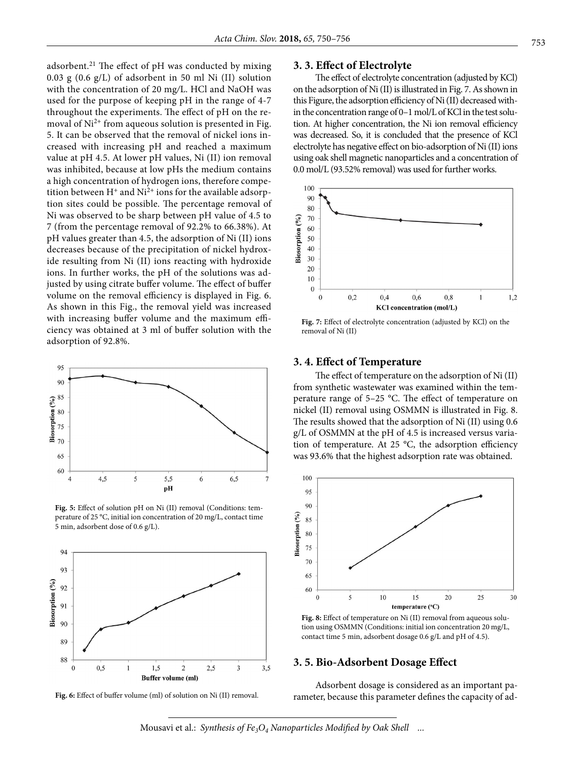adsorbent.21 The effect of pH was conducted by mixing 0.03 g (0.6 g/L) of adsorbent in 50 ml Ni (II) solution with the concentration of 20 mg*/*L. HCl and NaOH was used for the purpose of keeping pH in the range of 4-7 throughout the experiments. The effect of pH on the removal of  $Ni<sup>2+</sup>$  from aqueous solution is presented in Fig. 5. It can be observed that the removal of nickel ions increased with increasing pH and reached a maximum value at pH 4.5. At lower pH values, Ni (II) ion removal was inhibited, because at low pHs the medium contains a high concentration of hydrogen ions, therefore competition between  $H^+$  and  $Ni^{2+}$  ions for the available adsorption sites could be possible. The percentage removal of Ni was observed to be sharp between pH value of 4.5 to 7 (from the percentage removal of 92.2% to 66.38%). At pH values greater than 4.5, the adsorption of Ni (II) ions decreases because of the precipitation of nickel hydroxide resulting from Ni (II) ions reacting with hydroxide ions. In further works, the pH of the solutions was adjusted by using citrate buffer volume. The effect of buffer volume on the removal efficiency is displayed in Fig. 6. As shown in this Fig., the removal yield was increased with increasing buffer volume and the maximum efficiency was obtained at 3 ml of buffer solution with the adsorption of 92.8%.



**Fig. 5:** Effect of solution pH on Ni (II) removal (Conditions: temperature of 25 °C, initial ion concentration of 20 mg/L, contact time 5 min, adsorbent dose of 0.6 g/L).



**Fig. 6:** Effect of buffer volume (ml) of solution on Ni (II) removal.

#### **3. 3. Effect of Electrolyte**

The effect of electrolyte concentration (adjusted by KCl) on the adsorption of Ni (II) is illustrated in Fig. 7. As shown in this Figure, the adsorption efficiency of Ni (II) decreased within the concentration range of 0–1 mol/L of KCl in the test solution. At higher concentration, the Ni ion removal efficiency was decreased. So, it is concluded that the presence of KCl electrolyte has negative effect on bio-adsorption of Ni (II) ions using oak shell magnetic nanoparticles and a concentration of 0.0 mol/L (93.52% removal) was used for further works.



**Fig. 7:** Effect of electrolyte concentration (adjusted by KCl) on the removal of Ni (II)

#### **3. 4. Effect of Temperature**

The effect of temperature on the adsorption of Ni (II) from synthetic wastewater was examined within the temperature range of 5–25 °C. The effect of temperature on nickel (II) removal using OSMMN is illustrated in Fig. 8. The results showed that the adsorption of Ni (II) using 0.6 g/L of OSMMN at the pH of 4.5 is increased versus variation of temperature. At 25 °C, the adsorption efficiency was 93.6% that the highest adsorption rate was obtained.



Fig. 8: Effect of temperature on Ni (II) removal from aqueous solution using OSMMN (Conditions: initial ion concentration 20 mg/L, contact time 5 min, adsorbent dosage 0.6 g/L and pH of 4.5).

### **3. 5. Bio-Adsorbent Dosage Effect**

Adsorbent dosage is considered as an important parameter, because this parameter defines the capacity of ad-

Mousavi et al.: *Synthesis of Fe<sub>3</sub>O<sub>4</sub> Nanoparticles Modified by Oak Shell ...*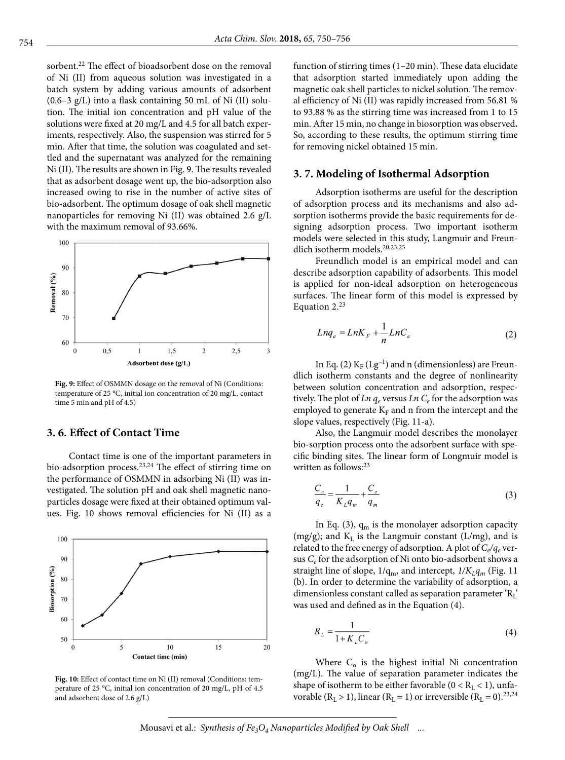sorbent.<sup>22</sup> The effect of bioadsorbent dose on the removal of Ni (II) from aqueous solution was investigated in a batch system by adding various amounts of adsorbent  $(0.6-3 \text{ g/L})$  into a flask containing 50 mL of Ni (II) solution. The initial ion concentration and pH value of the solutions were fixed at 20 mg/L and 4.5 for all batch experiments, respectively. Also, the suspension was stirred for 5 min. After that time, the solution was coagulated and settled and the supernatant was analyzed for the remaining Ni (II). The results are shown in Fig. 9. The results revealed that as adsorbent dosage went up, the bio-adsorption also increased owing to rise in the number of active sites of bio-adsorbent. The optimum dosage of oak shell magnetic nanoparticles for removing Ni (II) was obtained 2.6 g/L with the maximum removal of 93.66%.



**Fig. 9:** Effect of OSMMN dosage on the removal of Ni (Conditions: temperature of 25 °C, initial ion concentration of 20 mg/L, contact time 5 min and pH of 4.5)

### **3. 6. Effect of Contact Time**

Contact time is one of the important parameters in bio-adsorption process.<sup>23,24</sup> The effect of stirring time on the performance of OSMMN in adsorbing Ni (II) was investigated. The solution pH and oak shell magnetic nanoparticles dosage were fixed at their obtained optimum values. Fig. 10 shows removal efficiencies for Ni (II) as a



**Fig. 10:** Effect of contact time on Ni (II) removal (Conditions: temperature of 25 °C, initial ion concentration of 20 mg/L, pH of 4.5 and adsorbent dose of 2.6 g/L)

function of stirring times (1–20 min). These data elucidate that adsorption started immediately upon adding the magnetic oak shell particles to nickel solution. The removal efficiency of Ni (II) was rapidly increased from 56.81 % to 93.88 % as the stirring time was increased from 1 to 15 min. After 15 min, no change in biosorption was observed**.**  So, according to these results, the optimum stirring time for removing nickel obtained 15 min.

#### **3. 7. Modeling of Isothermal Adsorption**

Adsorption isotherms are useful for the description of adsorption process and its mechanisms and also adsorption isotherms provide the basic requirements for designing adsorption process. Two important isotherm models were selected in this study, Langmuir and Freundlich isotherm models.20,23,25

Freundlich model is an empirical model and can describe adsorption capability of adsorbents. This model is applied for non-ideal adsorption on heterogeneous surfaces. The linear form of this model is expressed by Equation 2.<sup>23</sup>

$$
Lnq_e = LnK_F + \frac{1}{n}LnC_e
$$
 (2)

In Eq. (2)  $K_F$  (Lg<sup>-1</sup>) and n (dimensionless) are Freundlich isotherm constants and the degree of nonlinearity between solution concentration and adsorption, respectively. The plot of  $Ln q_e$  versus  $Ln C_e$  for the adsorption was employed to generate  $K_F$  and n from the intercept and the slope values, respectively (Fig. 11-a).

Also, the Langmuir model describes the monolayer bio-sorption process onto the adsorbent surface with specific binding sites. The linear form of Longmuir model is written as follows:<sup>23</sup>

$$
\frac{C_e}{q_e} = \frac{1}{K_L q_m} + \frac{C_e}{q_m}
$$
\n(3)

In Eq. (3),  $q_m$  is the monolayer adsorption capacity  $(mg/g)$ ; and  $K<sub>L</sub>$  is the Langmuir constant (L/mg), and is related to the free energy of adsorption. A plot of  $C_e/q_e$  versus *Ce* for the adsorption of Ni onto bio-adsorbent shows a straight line of slope,  $1/q_m$ , and intercept,  $1/K_Lq_m$  (Fig. 11) (b). In order to determine the variability of adsorption, a dimensionless constant called as separation parameter  $R_L$ ' was used and defined as in the Equation (4).

$$
R_L = \frac{1}{1 + K_L C_o} \tag{4}
$$

Where  $C_0$  is the highest initial Ni concentration (mg/L). The value of separation parameter indicates the shape of isotherm to be either favorable ( $0 < R_L < 1$ ), unfavorable ( $R_L > 1$ ), linear ( $R_L = 1$ ) or irreversible ( $R_L = 0$ ).<sup>23,24</sup>

Mousavi et al.: *Synthesis of Fe<sub>3</sub>O<sub>4</sub> Nanoparticles Modified by Oak Shell ...*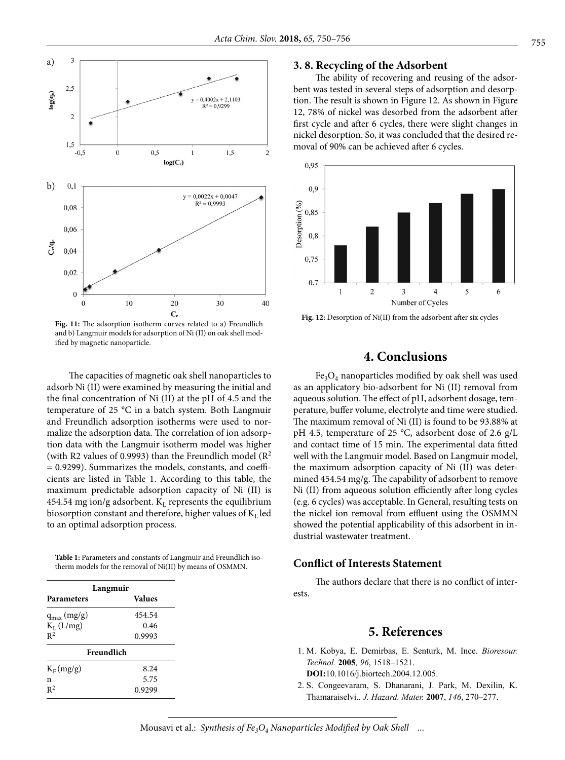

**Fig. 11:** The adsorption isotherm curves related to a) Freundlich and b) Langmuir models for adsorption of Ni (II) on oak shell modified by magnetic nanoparticle.

The capacities of magnetic oak shell nanoparticles to adsorb Ni (II) were examined by measuring the initial and the final concentration of Ni (II) at the pH of 4.5 and the temperature of 25 °C in a batch system. Both Langmuir and Freundlich adsorption isotherms were used to normalize the adsorption data. The correlation of ion adsorption data with the Langmuir isotherm model was higher (with R2 values of 0.9993) than the Freundlich model  $(R^2)$ = 0.9299). Summarizes the models, constants, and coefficients are listed in Table 1. According to this table, the maximum predictable adsorption capacity of Ni (II) is 454.54 mg ion/g adsorbent.  $K<sub>L</sub>$  represents the equilibrium biosorption constant and therefore, higher values of  $K<sub>L</sub>$  led to an optimal adsorption process.

**Table 1:** Parameters and constants of Langmuir and Freundlich isotherm models for the removal of Ni(II) by means of OSMMN.

| Langmuir        |               |
|-----------------|---------------|
| Parameters      | <b>Values</b> |
| $q_{max}(mg/g)$ | 454.54        |
| $K_L$ (L/mg)    | 0.46          |
| $R^2$           | 0.9993        |
| Freundlich      |               |
| $K_F$ (mg/g)    | 8.24          |
| n               | 5.75          |
| $R^2$           | 0.9299        |

#### **3. 8. Recycling of the Adsorbent**

The ability of recovering and reusing of the adsorbent was tested in several steps of adsorption and desorption. The result is shown in Figure 12. As shown in Figure 12, 78% of nickel was desorbed from the adsorbent after first cycle and after 6 cycles, there were slight changes in nickel desorption. So, it was concluded that the desired removal of 90% can be achieved after 6 cycles.



**Fig. 12:** Desorption of Ni(II) from the adsorbent after six cycles

# **4. Conclusions**

 $Fe<sub>3</sub>O<sub>4</sub>$  nanoparticles modified by oak shell was used as an applicatory bio-adsorbent for Ni (II) removal from aqueous solution. The effect of pH, adsorbent dosage, temperature, buffer volume, electrolyte and time were studied. The maximum removal of Ni (II) is found to be 93.88% at pH 4.5, temperature of 25 °C, adsorbent dose of 2.6 g/L and contact time of 15 min. The experimental data fitted well with the Langmuir model. Based on Langmuir model, the maximum adsorption capacity of Ni (II) was determined 454.54 mg/g. The capability of adsorbent to remove Ni (II) from aqueous solution efficiently after long cycles (e.g. 6 cycles) was acceptable. In General, resulting tests on the nickel ion removal from effluent using the OSMMN showed the potential applicability of this adsorbent in industrial wastewater treatment.

#### **Conflict of Interests Statement**

The authors declare that there is no conflict of interests.

# **5. References**

 1. M. Kobya, E. Demirbas, E. Senturk, M. Ince. *Bioresour. Technol.* **2005***, 96*, 1518–1521.

**DOI:**10.1016/j.biortech.2004.12.005.

 2. S. Congeevaram, S. Dhanarani, J. Park, M. Dexilin, K. Thamaraiselvi.. *J. Hazard. Mater.* **2007**, *146*, 270–277.